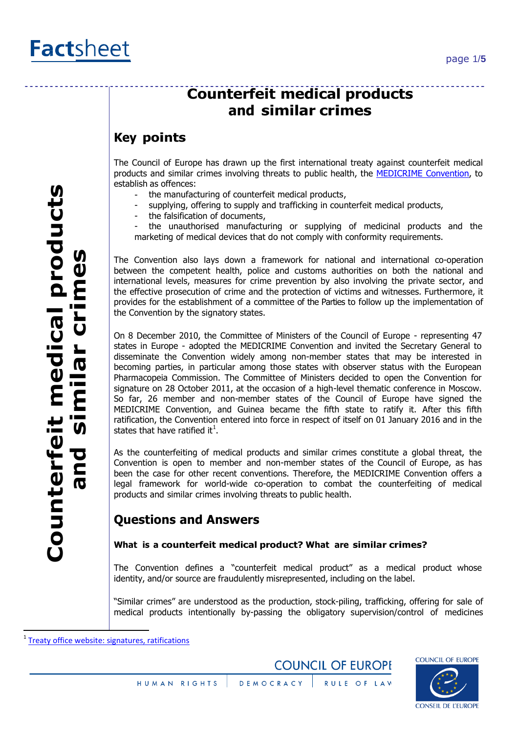## **Coun t erf e i t me dical products andsimil arcrimes**

# **Counterfeit medical products and similar crimes**

## **Key points**

The Council of Europe has drawn up the first international treaty against counterfeit medical products and similar crimes involving threats to public health, the [MEDICRIME Convention,](https://www.edqm.eu/en/the-medicrime-convention-1470.html) to establish as offences:

- the manufacturing of counterfeit medical products,
- supplying, offering to supply and trafficking in counterfeit medical products,
- the falsification of documents,

the unauthorised manufacturing or supplying of medicinal products and the marketing of medical devices that do not comply with conformity requirements.

The Convention also lays down a framework for national and international co-operation between the competent health, police and customs authorities on both the national and international levels, measures for crime prevention by also involving the private sector, and the effective prosecution of crime and the protection of victims and witnesses. Furthermore, it provides for the establishment of a committee of the Parties to follow up the implementation of the Convention by the signatory states.

On 8 December 2010, the Committee of Ministers of the Council of Europe - representing 47 states in Europe - adopted the MEDICRIME Convention and invited the Secretary General to disseminate the Convention widely among non-member states that may be interested in becoming parties, in particular among those states with observer status with the European Pharmacopeia Commission. The Committee of Ministers decided to open the Convention for signature on 28 October 2011, at the occasion of a high-level thematic conference in Moscow. So far, 26 member and non-member states of the Council of Europe have signed the MEDICRIME Convention, and Guinea became the fifth state to ratify it. After this fifth ratification, the Convention entered into force in respect of itself on 01 January 2016 and in the states that have ratified it<sup>1</sup>.

As the counterfeiting of medical products and similar crimes constitute a global threat, the Convention is open to member and non-member states of the Council of Europe, as has been the case for other recent conventions. Therefore, the MEDICRIME Convention offers a legal framework for world-wide co-operation to combat the counterfeiting of medical products and similar crimes involving threats to public health.

## **Questions and Answers**

#### **What is a counterfeit medical product? What are similar crimes?**

The Convention defines a "counterfeit medical product" as a medical product whose identity, and/or source are fraudulently misrepresented, including on the label.

"Similar crimes" are understood as the production, stock-piling, trafficking, offering for sale of medical products intentionally by-passing the obligatory supervision/control of medicines

 $\overline{\phantom{a}}$ 





<sup>&</sup>lt;sup>1</sup> [Treaty office website: signatures, ratifications](http://www.coe.int/en/web/conventions/full-list/-/conventions/treaty/211/signatures?p_auth=8GAF95an)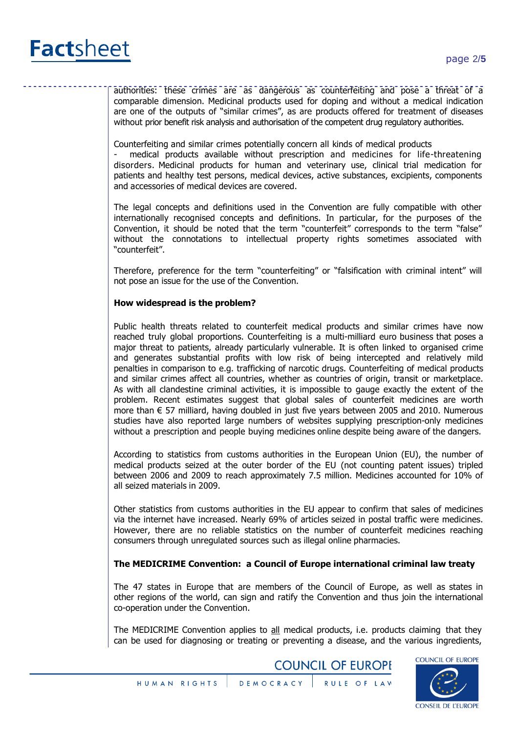

authorities: these crimes are as dangerous as counterfeiting and pose a threat of a comparable dimension. Medicinal products used for doping and without a medical indication are one of the outputs of "similar crimes", as are products offered for treatment of diseases without prior benefit risk analysis and authorisation of the competent drug regulatory authorities.

Counterfeiting and similar crimes potentially concern all kinds of medical products

medical products available without prescription and medicines for life-threatening disorders. Medicinal products for human and veterinary use, clinical trial medication for patients and healthy test persons, medical devices, active substances, excipients, components and accessories of medical devices are covered.

The legal concepts and definitions used in the Convention are fully compatible with other internationally recognised concepts and definitions. In particular, for the purposes of the Convention, it should be noted that the term "counterfeit" corresponds to the term "false" without the connotations to intellectual property rights sometimes associated with "counterfeit".

Therefore, preference for the term "counterfeiting" or "falsification with criminal intent" will not pose an issue for the use of the Convention.

#### **How widespread is the problem?**

Public health threats related to counterfeit medical products and similar crimes have now reached truly global proportions. Counterfeiting is a multi-milliard euro business that poses a major threat to patients, already particularly vulnerable. It is often linked to organised crime and generates substantial profits with low risk of being intercepted and relatively mild penalties in comparison to e.g. trafficking of narcotic drugs. Counterfeiting of medical products and similar crimes affect all countries, whether as countries of origin, transit or marketplace. As with all clandestine criminal activities, it is impossible to gauge exactly the extent of the problem. Recent estimates suggest that global sales of counterfeit medicines are worth more than € 57 milliard, having doubled in just five years between 2005 and 2010. Numerous studies have also reported large numbers of websites supplying prescription-only medicines without a prescription and people buying medicines online despite being aware of the dangers.

According to statistics from customs authorities in the European Union (EU), the number of medical products seized at the outer border of the EU (not counting patent issues) tripled between 2006 and 2009 to reach approximately 7.5 million. Medicines accounted for 10% of all seized materials in 2009.

Other statistics from customs authorities in the EU appear to confirm that sales of medicines via the internet have increased. Nearly 69% of articles seized in postal traffic were medicines. However, there are no reliable statistics on the number of counterfeit medicines reaching consumers through unregulated sources such as illegal online pharmacies.

#### **The MEDICRIME Convention: a Council of Europe international criminal law treaty**

The 47 states in Europe that are members of the Council of Europe, as well as states in other regions of the world, can sign and ratify the Convention and thus join the international co-operation under the Convention.

The MEDICRIME Convention applies to all medical products, i.e. products claiming that they can be used for diagnosing or treating or preventing a disease, and the various ingredients,

**COUNCIL OF EUROPE** 

**COUNCIL OF EUROPE CONSEIL DE L'EUROPE** 

DEMOCRACY RULE OF LAW HUMAN RIGHTS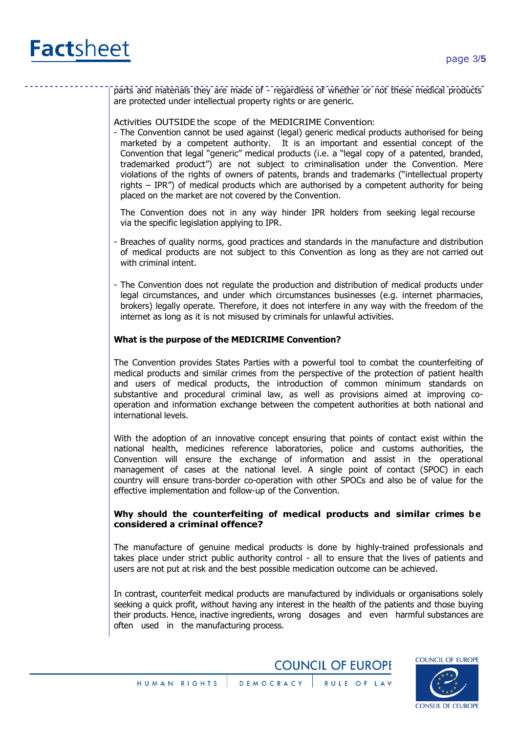

parts and materials they are made of - regardless of whether or not these medical products are protected under intellectual property rights or are generic.

Activities OUTSIDE the scope of the MEDICRIME Convention:

- The Convention cannot be used against (legal) generic medical products authorised for being marketed by a competent authority. It is an important and essential concept of the Convention that legal "generic" medical products (i.e. a "legal copy of a patented, branded, trademarked product") are not subject to criminalisation under the Convention. Mere violations of the rights of owners of patents, brands and trademarks ("intellectual property rights – IPR") of medical products which are authorised by a competent authority for being placed on the market are not covered by the Convention.

The Convention does not in any way hinder IPR holders from seeking legal recourse via the specific legislation applying to IPR.

- Breaches of quality norms, good practices and standards in the manufacture and distribution of medical products are not subject to this Convention as long as they are not carried out with criminal intent.
- The Convention does not regulate the production and distribution of medical products under legal circumstances, and under which circumstances businesses (e.g. internet pharmacies, brokers) legally operate. Therefore, it does not interfere in any way with the freedom of the internet as long as it is not misused by criminals for unlawful activities.

#### **What is the purpose of the MEDICRIME Convention?**

The Convention provides States Parties with a powerful tool to combat the counterfeiting of medical products and similar crimes from the perspective of the protection of patient health and users of medical products, the introduction of common minimum standards on substantive and procedural criminal law, as well as provisions aimed at improving cooperation and information exchange between the competent authorities at both national and international levels.

With the adoption of an innovative concept ensuring that points of contact exist within the national health, medicines reference laboratories, police and customs authorities, the Convention will ensure the exchange of information and assist in the operational management of cases at the national level. A single point of contact (SPOC) in each country will ensure trans-border co-operation with other SPOCs and also be of value for the effective implementation and follow-up of the Convention.

#### **Why should the counterfeiting of medical products and similar crimes be considered a criminal offence?**

The manufacture of genuine medical products is done by highly-trained professionals and takes place under strict public authority control - all to ensure that the lives of patients and users are not put at risk and the best possible medication outcome can be achieved.

In contrast, counterfeit medical products are manufactured by individuals or organisations solely seeking a quick profit, without having any interest in the health of the patients and those buying their products. Hence, inactive ingredients, wrong dosages and even harmful substances are often used in the manufacturing process.

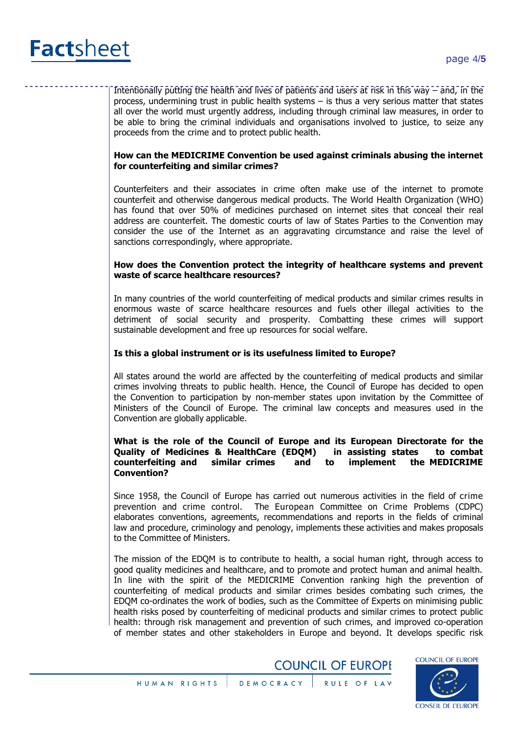

Intentionally putting the health and lives of patients and users at risk in this way – and, in the process, undermining trust in public health systems – is thus a very serious matter that states all over the world must urgently address, including through criminal law measures, in order to be able to bring the criminal individuals and organisations involved to justice, to seize any proceeds from the crime and to protect public health.

#### **How can the MEDICRIME Convention be used against criminals abusing the internet for counterfeiting and similar crimes?**

Counterfeiters and their associates in crime often make use of the internet to promote counterfeit and otherwise dangerous medical products. The World Health Organization (WHO) has found that over 50% of medicines purchased on internet sites that conceal their real address are counterfeit. The domestic courts of law of States Parties to the Convention may consider the use of the Internet as an aggravating circumstance and raise the level of sanctions correspondingly, where appropriate.

#### **How does the Convention protect the integrity of healthcare systems and prevent waste of scarce healthcare resources?**

In many countries of the world counterfeiting of medical products and similar crimes results in enormous waste of scarce healthcare resources and fuels other illegal activities to the detriment of social security and prosperity. Combatting these crimes will support sustainable development and free up resources for social welfare.

#### **Is this a global instrument or is its usefulness limited to Europe?**

All states around the world are affected by the counterfeiting of medical products and similar crimes involving threats to public health. Hence, the Council of Europe has decided to open the Convention to participation by non-member states upon invitation by the Committee of Ministers of the Council of Europe. The criminal law concepts and measures used in the Convention are globally applicable.

#### **What is the role of the Council of Europe and its European Directorate for the Quality of Medicines & HealthCare (EDQM) in assisting states to combat counterfeiting and similar crimes and to implement the MEDICRIME Convention?**

Since 1958, the Council of Europe has carried out numerous activities in the field of crime prevention and crime control. The European Committee on Crime Problems (CDPC) elaborates conventions, agreements, recommendations and reports in the fields of criminal law and procedure, criminology and penology, implements these activities and makes proposals to the Committee of Ministers.

The mission of the EDQM is to contribute to health, a social human right, through access to good quality medicines and healthcare, and to promote and protect human and animal health. In line with the spirit of the MEDICRIME Convention ranking high the prevention of counterfeiting of medical products and similar crimes besides combating such crimes, the EDQM co-ordinates the work of bodies, such as the Committee of Experts on minimising public health risks posed by counterfeiting of medicinal products and similar crimes to protect public health: through risk management and prevention of such crimes, and improved co-operation of member states and other stakeholders in Europe and beyond. It develops specific risk

**COUNCIL OF EUROPE**